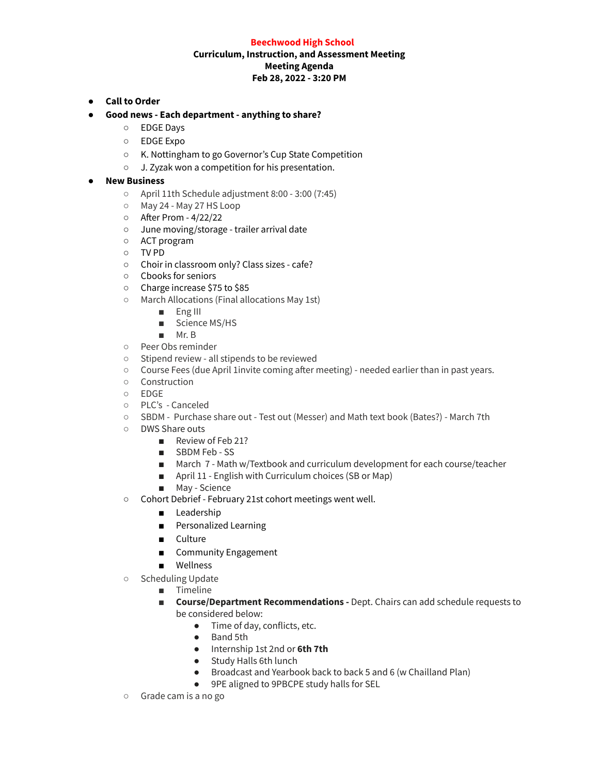### **Beechwood High School**

# **Curriculum, Instruction, and Assessment Meeting Meeting Agenda Feb 28, 2022 - 3:20 PM**

- **● Call to Order**
- **● Good news - Each department - anything to share?**
	- EDGE Days
	- EDGE Expo
	- K. Nottingham to go Governor's Cup State Competition
	- J. Zyzak won a competition for his presentation.

## **● New Business**

- April 11th Schedule adjustment 8:00 3:00 (7:45)
- May 24 May 27 HS Loop
- After Prom 4/22/22
- June moving/storage trailer arrival date
- ACT program
- TV PD
- Choir in classroom only? Class sizes cafe?
- Cbooks for seniors
- Charge increase \$75 to \$85
- March Allocations (Final allocations May 1st)
	- Eng III
	- Science MS/HS
	- Mr. B
- Peer Obs reminder
- Stipend review all stipends to be reviewed
- Course Fees (due April 1invite coming after meeting) needed earlier than in past years.
- Construction
- EDGE
- PLC's Canceled
- SBDM Purchase share out Test out (Messer) and Math text book (Bates?) March 7th
- DWS Share outs
	- Review of Feb 21?
	- SBDM Feb SS
	- March 7 Math w/Textbook and curriculum development for each course/teacher
	- April 11 English with Curriculum choices (SB or Map)
	- May Science
- Cohort Debrief February 21st cohort meetings went well.
	- Leadership
	- Personalized Learning
	- Culture
	- Community Engagement
	- Wellness
- Scheduling Update
	- Timeline
		- **■ Course/Department Recommendations -** Dept. Chairs can add schedule requests to be considered below:
			- Time of day, conflicts, etc.
			- Band 5th
			- Internship 1st 2nd or **6th 7th**
			- Study Halls 6th lunch
			- Broadcast and Yearbook back to back 5 and 6 (w Chailland Plan)
			- 9PE aligned to 9PBCPE study halls for SEL
- Grade cam is a no go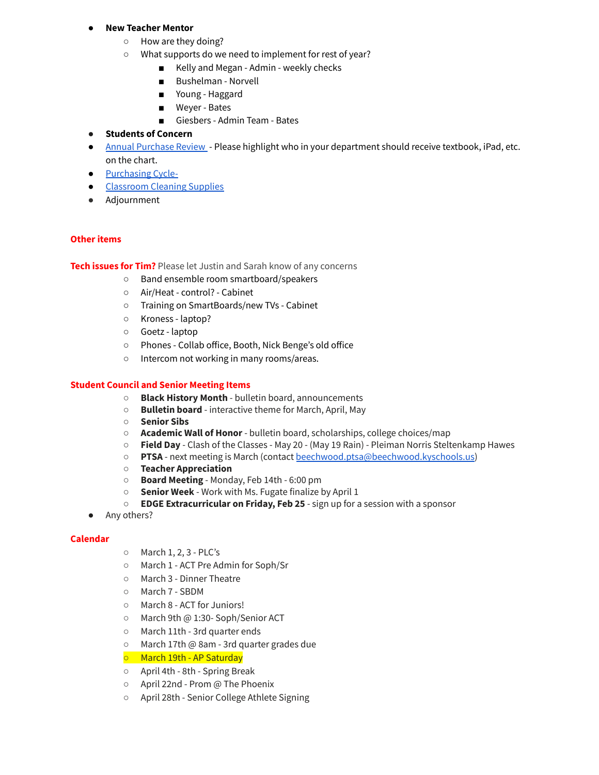### **● New Teacher Mentor**

- How are they doing?
- What supports do we need to implement for rest of year?
	- Kelly and Megan Admin weekly checks
	- Bushelman Norvell
	- Young Haggard
	- Weyer Bates
	- Giesbers Admin Team Bates

# **● Students of Concern**

- Annual [Purchase](https://docs.google.com/spreadsheets/d/1ZF30PIfrsf0629tZW9dFl_z_yiEN6mwEmD3TDgqJ9iE/edit?usp=sharing) Review Please highlight who in your department should receive textbook, iPad, etc. on the chart.
- [Purchasing](https://docs.google.com/spreadsheets/d/1ZklGCywipIpgben3HfocZIhWnnTtVq1FQ_TWIrN7nz0/edit?usp=sharing) Cycle-
- [Classroom](https://docs.google.com/spreadsheets/d/1AodtauCSZljJTzhcuvo6rs1NhRs52lKNu-2jVIg9Q7s/edit?usp=sharing) Cleaning Supplies
- Adjournment

# **Other items**

**Tech issues for Tim?** Please let Justin and Sarah know of any concerns

- Band ensemble room smartboard/speakers
- Air/Heat control? Cabinet
- Training on SmartBoards/new TVs Cabinet
- Kroness laptop?
- Goetz laptop
- Phones Collab office, Booth, Nick Benge's old office
- Intercom not working in many rooms/areas.

## **Student Council and Senior Meeting Items**

- **Black History Month** bulletin board, announcements
- **Bulletin board** interactive theme for March, April, May
- **Senior Sibs**
- **Academic Wall of Honor** bulletin board, scholarships, college choices/map
- **Field Day** Clash of the Classes May 20 (May 19 Rain) Pleiman Norris Steltenkamp Hawes
- **PTSA** next meeting is March (contact [beechwood.ptsa@beechwood.kyschools.us](https://mail.google.com/mail/?view=cm&fs=1&to=beechwood.ptsa%40beechwood.kyschools.us&authuser=0))
- **Teacher Appreciation**
- **Board Meeting** Monday, Feb 14th 6:00 pm
- **Senior Week** Work with Ms. Fugate finalize by April 1
- **EDGE Extracurricular on Friday, Feb 25** sign up for a session with a sponsor
- Any others?

#### **Calendar**

- March 1, 2, 3 PLC's
- March 1 ACT Pre Admin for Soph/Sr
- March 3 Dinner Theatre
- March 7 SBDM
- March 8 ACT for Juniors!
- March 9th @ 1:30- Soph/Senior ACT
- March 11th 3rd quarter ends
- March 17th @ 8am 3rd quarter grades due
- March 19th AP Saturday
- April 4th 8th Spring Break
- April 22nd Prom @ The Phoenix
- April 28th Senior College Athlete Signing